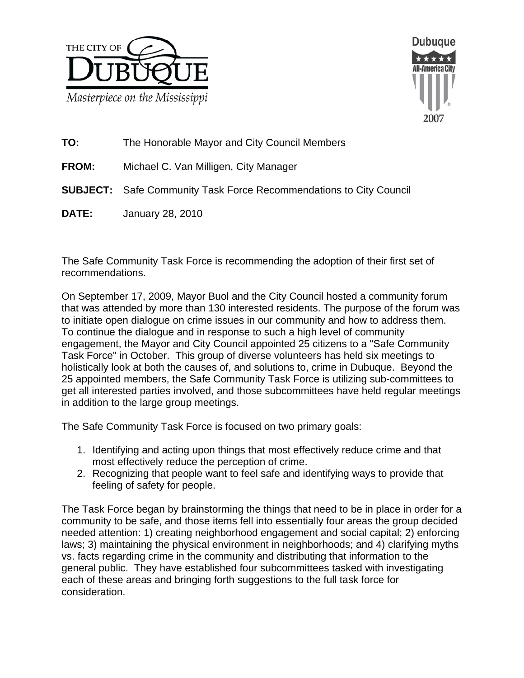



**TO:** The Honorable Mayor and City Council Members

**FROM:** Michael C. Van Milligen, City Manager

**SUBJECT:** Safe Community Task Force Recommendations to City Council

**DATE:** January 28, 2010

The Safe Community Task Force is recommending the adoption of their first set of recommendations.

On September 17, 2009, Mayor Buol and the City Council hosted a community forum that was attended by more than 130 interested residents. The purpose of the forum was to initiate open dialogue on crime issues in our community and how to address them. To continue the dialogue and in response to such a high level of community engagement, the Mayor and City Council appointed 25 citizens to a "Safe Community Task Force" in October. This group of diverse volunteers has held six meetings to holistically look at both the causes of, and solutions to, crime in Dubuque. Beyond the 25 appointed members, the Safe Community Task Force is utilizing sub-committees to get all interested parties involved, and those subcommittees have held regular meetings in addition to the large group meetings.

The Safe Community Task Force is focused on two primary goals:

- 1. Identifying and acting upon things that most effectively reduce crime and that most effectively reduce the perception of crime.
- 2. Recognizing that people want to feel safe and identifying ways to provide that feeling of safety for people.

The Task Force began by brainstorming the things that need to be in place in order for a community to be safe, and those items fell into essentially four areas the group decided needed attention: 1) creating neighborhood engagement and social capital; 2) enforcing laws; 3) maintaining the physical environment in neighborhoods; and 4) clarifying myths vs. facts regarding crime in the community and distributing that information to the general public. They have established four subcommittees tasked with investigating each of these areas and bringing forth suggestions to the full task force for consideration.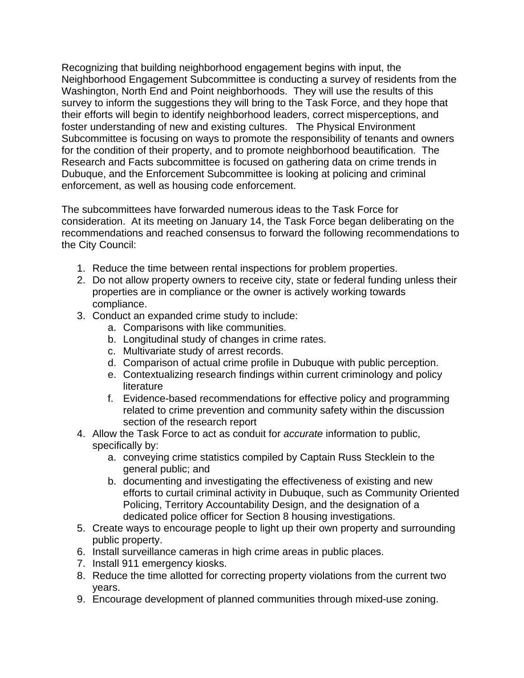Recognizing that building neighborhood engagement begins with input, the Neighborhood Engagement Subcommittee is conducting a survey of residents from the Washington, North End and Point neighborhoods. They will use the results of this survey to inform the suggestions they will bring to the Task Force, and they hope that their efforts will begin to identify neighborhood leaders, correct misperceptions, and foster understanding of new and existing cultures. The Physical Environment Subcommittee is focusing on ways to promote the responsibility of tenants and owners for the condition of their property, and to promote neighborhood beautification. The Research and Facts subcommittee is focused on gathering data on crime trends in Dubuque, and the Enforcement Subcommittee is looking at policing and criminal enforcement, as well as housing code enforcement.

The subcommittees have forwarded numerous ideas to the Task Force for consideration. At its meeting on January 14, the Task Force began deliberating on the recommendations and reached consensus to forward the following recommendations to the City Council:

- 1. Reduce the time between rental inspections for problem properties.
- 2. Do not allow property owners to receive city, state or federal funding unless their properties are in compliance or the owner is actively working towards compliance.
- 3. Conduct an expanded crime study to include:
	- a. Comparisons with like communities.
	- b. Longitudinal study of changes in crime rates.
	- c. Multivariate study of arrest records.
	- d. Comparison of actual crime profile in Dubuque with public perception.
	- e. Contextualizing research findings within current criminology and policy literature
	- f. Evidence-based recommendations for effective policy and programming related to crime prevention and community safety within the discussion section of the research report
- 4. Allow the Task Force to act as conduit for *accurate* information to public, specifically by:
	- a. conveying crime statistics compiled by Captain Russ Stecklein to the general public; and
	- b. documenting and investigating the effectiveness of existing and new efforts to curtail criminal activity in Dubuque, such as Community Oriented Policing, Territory Accountability Design, and the designation of a dedicated police officer for Section 8 housing investigations.
- 5. Create ways to encourage people to light up their own property and surrounding public property.
- 6. Install surveillance cameras in high crime areas in public places.
- 7. Install 911 emergency kiosks.
- 8. Reduce the time allotted for correcting property violations from the current two years.
- 9. Encourage development of planned communities through mixed-use zoning.